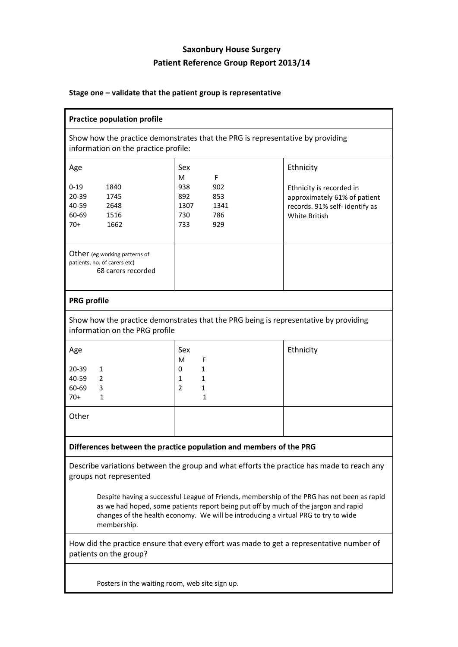## **Saxonbury House Surgery Patient Reference Group Report 2013/14**

## **Stage one – validate that the patient group is representative**

| <b>Practice population profile</b>                                                                                                                                                                                                                                                                                                                                                                            |                                                                                       |                                                                                                                                 |  |  |  |
|---------------------------------------------------------------------------------------------------------------------------------------------------------------------------------------------------------------------------------------------------------------------------------------------------------------------------------------------------------------------------------------------------------------|---------------------------------------------------------------------------------------|---------------------------------------------------------------------------------------------------------------------------------|--|--|--|
| Show how the practice demonstrates that the PRG is representative by providing<br>information on the practice profile:                                                                                                                                                                                                                                                                                        |                                                                                       |                                                                                                                                 |  |  |  |
| Age<br>$0 - 19$<br>1840<br>$20 - 39$<br>1745<br>40-59<br>2648<br>60-69<br>1516<br>$70+$<br>1662                                                                                                                                                                                                                                                                                                               | Sex<br>F<br>M<br>938<br>902<br>892<br>853<br>1307<br>1341<br>730<br>786<br>733<br>929 | Ethnicity<br>Ethnicity is recorded in<br>approximately 61% of patient<br>records. 91% self- identify as<br><b>White British</b> |  |  |  |
| Other (eg working patterns of<br>patients, no. of carers etc)<br>68 carers recorded                                                                                                                                                                                                                                                                                                                           |                                                                                       |                                                                                                                                 |  |  |  |
| <b>PRG profile</b>                                                                                                                                                                                                                                                                                                                                                                                            |                                                                                       |                                                                                                                                 |  |  |  |
| Show how the practice demonstrates that the PRG being is representative by providing<br>information on the PRG profile                                                                                                                                                                                                                                                                                        |                                                                                       |                                                                                                                                 |  |  |  |
| Age<br>$20 - 39$<br>1                                                                                                                                                                                                                                                                                                                                                                                         | Sex<br>м<br>F<br>0<br>1                                                               | Ethnicity                                                                                                                       |  |  |  |
| 40-59<br>2<br>60-69<br>3<br>$70+$<br>1                                                                                                                                                                                                                                                                                                                                                                        | 1<br>1<br>$\overline{2}$<br>1<br>$\mathbf{1}$                                         |                                                                                                                                 |  |  |  |
| Other                                                                                                                                                                                                                                                                                                                                                                                                         |                                                                                       |                                                                                                                                 |  |  |  |
| Differences between the practice population and members of the PRG                                                                                                                                                                                                                                                                                                                                            |                                                                                       |                                                                                                                                 |  |  |  |
| Describe variations between the group and what efforts the practice has made to reach any<br>groups not represented<br>Despite having a successful League of Friends, membership of the PRG has not been as rapid<br>as we had hoped, some patients report being put off by much of the jargon and rapid<br>changes of the health economy. We will be introducing a virtual PRG to try to wide<br>membership. |                                                                                       |                                                                                                                                 |  |  |  |
| How did the practice ensure that every effort was made to get a representative number of<br>patients on the group?                                                                                                                                                                                                                                                                                            |                                                                                       |                                                                                                                                 |  |  |  |
|                                                                                                                                                                                                                                                                                                                                                                                                               |                                                                                       |                                                                                                                                 |  |  |  |

Posters in the waiting room, web site sign up.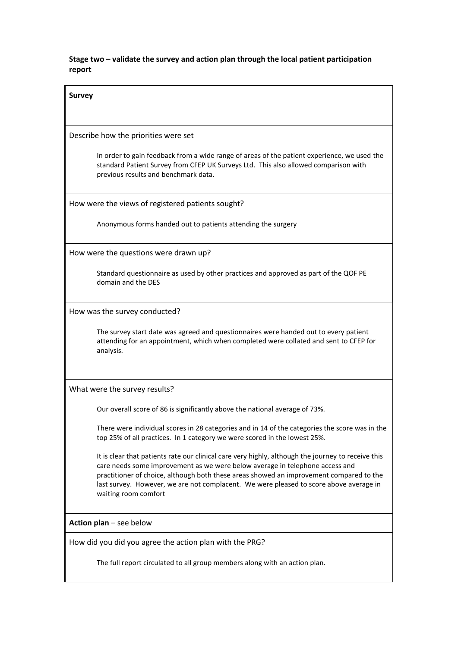**Stage two – validate the survey and action plan through the local patient participation report**

| <b>Survey</b>                                                                                                                                                                                                                                                                                                                                                                                   |  |  |  |  |
|-------------------------------------------------------------------------------------------------------------------------------------------------------------------------------------------------------------------------------------------------------------------------------------------------------------------------------------------------------------------------------------------------|--|--|--|--|
|                                                                                                                                                                                                                                                                                                                                                                                                 |  |  |  |  |
| Describe how the priorities were set                                                                                                                                                                                                                                                                                                                                                            |  |  |  |  |
| In order to gain feedback from a wide range of areas of the patient experience, we used the<br>standard Patient Survey from CFEP UK Surveys Ltd. This also allowed comparison with<br>previous results and benchmark data.                                                                                                                                                                      |  |  |  |  |
| How were the views of registered patients sought?                                                                                                                                                                                                                                                                                                                                               |  |  |  |  |
| Anonymous forms handed out to patients attending the surgery                                                                                                                                                                                                                                                                                                                                    |  |  |  |  |
| How were the questions were drawn up?                                                                                                                                                                                                                                                                                                                                                           |  |  |  |  |
| Standard questionnaire as used by other practices and approved as part of the QOF PE<br>domain and the DES                                                                                                                                                                                                                                                                                      |  |  |  |  |
| How was the survey conducted?                                                                                                                                                                                                                                                                                                                                                                   |  |  |  |  |
| The survey start date was agreed and questionnaires were handed out to every patient<br>attending for an appointment, which when completed were collated and sent to CFEP for<br>analysis.                                                                                                                                                                                                      |  |  |  |  |
| What were the survey results?                                                                                                                                                                                                                                                                                                                                                                   |  |  |  |  |
| Our overall score of 86 is significantly above the national average of 73%.                                                                                                                                                                                                                                                                                                                     |  |  |  |  |
| There were individual scores in 28 categories and in 14 of the categories the score was in the<br>top 25% of all practices. In 1 category we were scored in the lowest 25%.                                                                                                                                                                                                                     |  |  |  |  |
| It is clear that patients rate our clinical care very highly, although the journey to receive this<br>care needs some improvement as we were below average in telephone access and<br>practitioner of choice, although both these areas showed an improvement compared to the<br>last survey. However, we are not complacent. We were pleased to score above average in<br>waiting room comfort |  |  |  |  |
| Action plan - see below                                                                                                                                                                                                                                                                                                                                                                         |  |  |  |  |
| How did you did you agree the action plan with the PRG?                                                                                                                                                                                                                                                                                                                                         |  |  |  |  |
| The full report circulated to all group members along with an action plan.                                                                                                                                                                                                                                                                                                                      |  |  |  |  |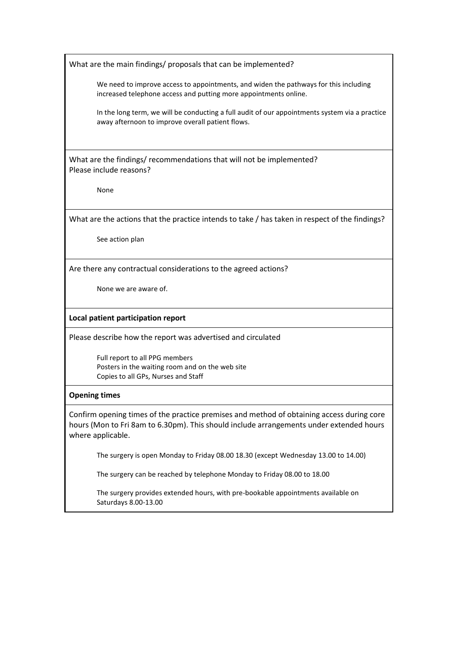What are the main findings/ proposals that can be implemented?

We need to improve access to appointments, and widen the pathways for this including increased telephone access and putting more appointments online.

In the long term, we will be conducting a full audit of our appointments system via a practice away afternoon to improve overall patient flows.

What are the findings/ recommendations that will not be implemented? Please include reasons?

None

What are the actions that the practice intends to take / has taken in respect of the findings?

See action plan

Are there any contractual considerations to the agreed actions?

None we are aware of.

**Local patient participation report**

Please describe how the report was advertised and circulated

Full report to all PPG members Posters in the waiting room and on the web site Copies to all GPs, Nurses and Staff

## **Opening times**

Confirm opening times of the practice premises and method of obtaining access during core hours (Mon to Fri 8am to 6.30pm). This should include arrangements under extended hours where applicable.

The surgery is open Monday to Friday 08.00 18.30 (except Wednesday 13.00 to 14.00)

The surgery can be reached by telephone Monday to Friday 08.00 to 18.00

The surgery provides extended hours, with pre-bookable appointments available on Saturdays 8.00-13.00